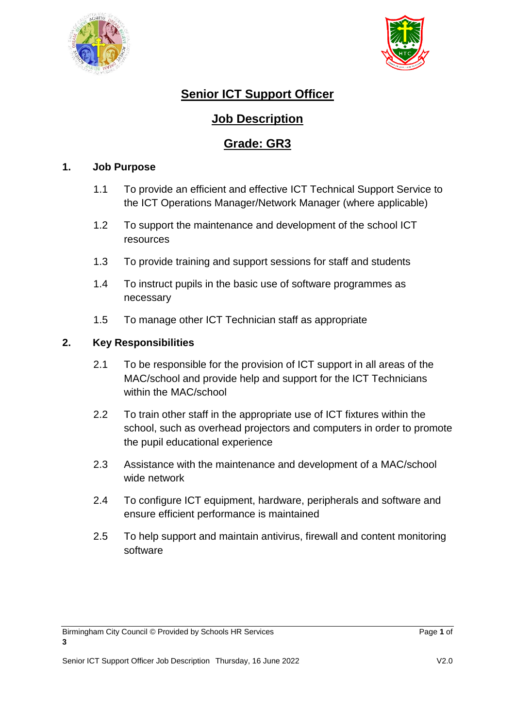



# **Senior ICT Support Officer**

## **Job Description**

## **Grade: GR3**

#### **1. Job Purpose**

- 1.1 To provide an efficient and effective ICT Technical Support Service to the ICT Operations Manager/Network Manager (where applicable)
- 1.2 To support the maintenance and development of the school ICT resources
- 1.3 To provide training and support sessions for staff and students
- 1.4 To instruct pupils in the basic use of software programmes as necessary
- 1.5 To manage other ICT Technician staff as appropriate

### **2. Key Responsibilities**

- 2.1 To be responsible for the provision of ICT support in all areas of the MAC/school and provide help and support for the ICT Technicians within the MAC/school
- 2.2 To train other staff in the appropriate use of ICT fixtures within the school, such as overhead projectors and computers in order to promote the pupil educational experience
- 2.3 Assistance with the maintenance and development of a MAC/school wide network
- 2.4 To configure ICT equipment, hardware, peripherals and software and ensure efficient performance is maintained
- 2.5 To help support and maintain antivirus, firewall and content monitoring software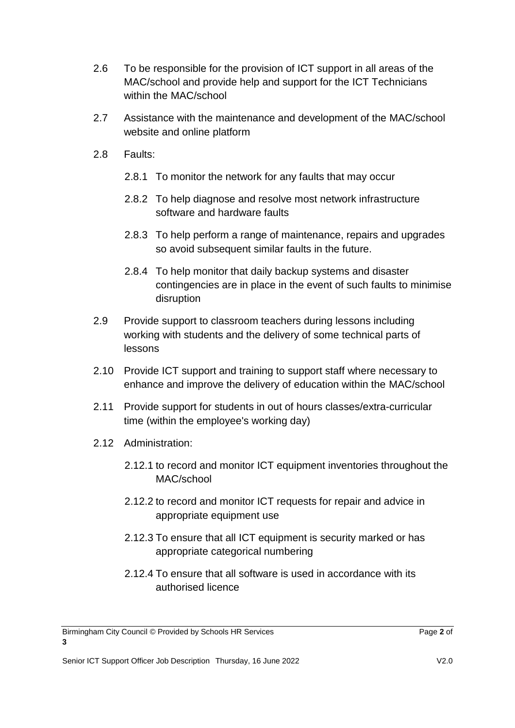- 2.6 To be responsible for the provision of ICT support in all areas of the MAC/school and provide help and support for the ICT Technicians within the MAC/school
- 2.7 Assistance with the maintenance and development of the MAC/school website and online platform
- 2.8 Faults:
	- 2.8.1 To monitor the network for any faults that may occur
	- 2.8.2 To help diagnose and resolve most network infrastructure software and hardware faults
	- 2.8.3 To help perform a range of maintenance, repairs and upgrades so avoid subsequent similar faults in the future.
	- 2.8.4 To help monitor that daily backup systems and disaster contingencies are in place in the event of such faults to minimise disruption
- 2.9 Provide support to classroom teachers during lessons including working with students and the delivery of some technical parts of lessons
- 2.10 Provide ICT support and training to support staff where necessary to enhance and improve the delivery of education within the MAC/school
- 2.11 Provide support for students in out of hours classes/extra-curricular time (within the employee's working day)
- 2.12 Administration:
	- 2.12.1 to record and monitor ICT equipment inventories throughout the MAC/school
	- 2.12.2 to record and monitor ICT requests for repair and advice in appropriate equipment use
	- 2.12.3 To ensure that all ICT equipment is security marked or has appropriate categorical numbering
	- 2.12.4 To ensure that all software is used in accordance with its authorised licence